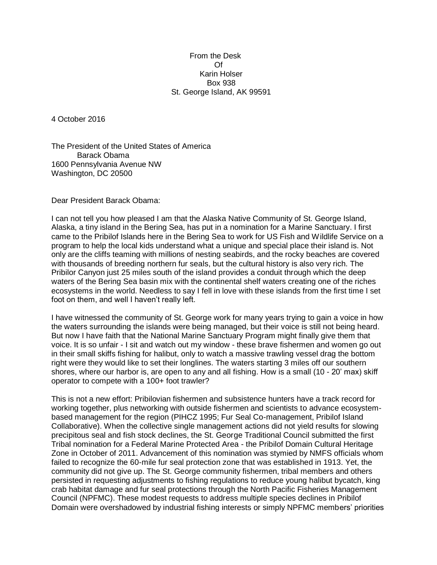## From the Desk Of Karin Holser Box 938 St. George Island, AK 99591

4 October 2016

The President of the United States of America Barack Obama 1600 Pennsylvania Avenue NW Washington, DC 20500

Dear President Barack Obama:

I can not tell you how pleased I am that the Alaska Native Community of St. George Island, Alaska, a tiny island in the Bering Sea, has put in a nomination for a Marine Sanctuary. I first came to the Pribilof Islands here in the Bering Sea to work for US Fish and Wildlife Service on a program to help the local kids understand what a unique and special place their island is. Not only are the cliffs teaming with millions of nesting seabirds, and the rocky beaches are covered with thousands of breeding northern fur seals, but the cultural history is also very rich. The Pribilor Canyon just 25 miles south of the island provides a conduit through which the deep waters of the Bering Sea basin mix with the continental shelf waters creating one of the riches ecosystems in the world. Needless to say I fell in love with these islands from the first time I set foot on them, and well I haven't really left.

I have witnessed the community of St. George work for many years trying to gain a voice in how the waters surrounding the islands were being managed, but their voice is still not being heard. But now I have faith that the National Marine Sanctuary Program might finally give them that voice. It is so unfair - I sit and watch out my window - these brave fishermen and women go out in their small skiffs fishing for halibut, only to watch a massive trawling vessel drag the bottom right were they would like to set their longlines. The waters starting 3 miles off our southern shores, where our harbor is, are open to any and all fishing. How is a small (10 - 20' max) skiff operator to compete with a 100+ foot trawler?

This is not a new effort: Pribilovian fishermen and subsistence hunters have a track record for working together, plus networking with outside fishermen and scientists to advance ecosystembased management for the region (PIHCZ 1995; Fur Seal Co-management, Pribilof Island Collaborative). When the collective single management actions did not yield results for slowing precipitous seal and fish stock declines, the St. George Traditional Council submitted the first Tribal nomination for a Federal Marine Protected Area - the Pribilof Domain Cultural Heritage Zone in October of 2011. Advancement of this nomination was stymied by NMFS officials whom failed to recognize the 60-mile fur seal protection zone that was established in 1913. Yet, the community did not give up. The St. George community fishermen, tribal members and others persisted in requesting adjustments to fishing regulations to reduce young halibut bycatch, king crab habitat damage and fur seal protections through the North Pacific Fisheries Management Council (NPFMC). These modest requests to address multiple species declines in Pribilof Domain were overshadowed by industrial fishing interests or simply NPFMC members' priorities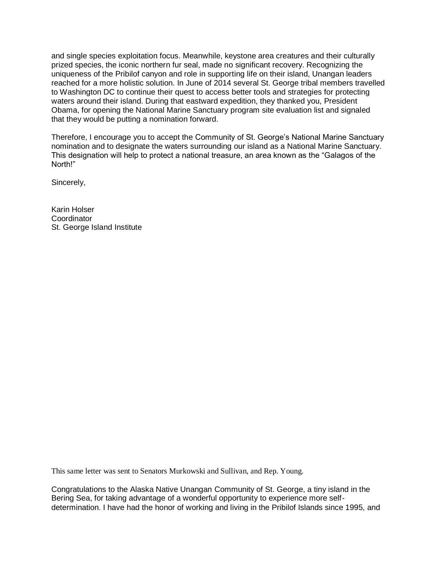and single species exploitation focus. Meanwhile, keystone area creatures and their culturally prized species, the iconic northern fur seal, made no significant recovery. Recognizing the uniqueness of the Pribilof canyon and role in supporting life on their island, Unangan leaders reached for a more holistic solution. In June of 2014 several St. George tribal members travelled to Washington DC to continue their quest to access better tools and strategies for protecting waters around their island. During that eastward expedition, they thanked you, President Obama, for opening the National Marine Sanctuary program site evaluation list and signaled that they would be putting a nomination forward.

Therefore, I encourage you to accept the Community of St. George's National Marine Sanctuary nomination and to designate the waters surrounding our island as a National Marine Sanctuary. This designation will help to protect a national treasure, an area known as the "Galagos of the North!"

Sincerely,

Karin Holser **Coordinator** St. George Island Institute

This same letter was sent to Senators Murkowski and Sullivan, and Rep. Young.

Congratulations to the Alaska Native Unangan Community of St. George, a tiny island in the Bering Sea, for taking advantage of a wonderful opportunity to experience more selfdetermination. I have had the honor of working and living in the Pribilof Islands since 1995, and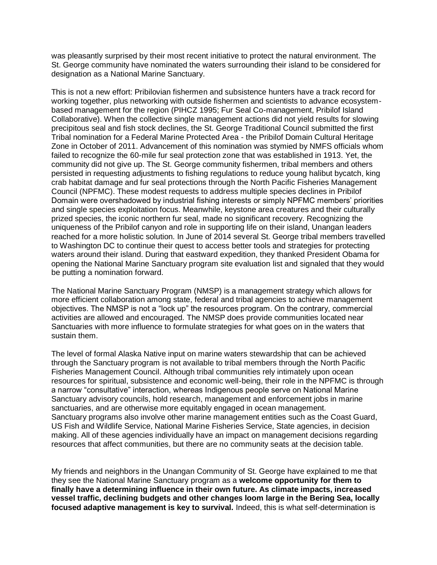was pleasantly surprised by their most recent initiative to protect the natural environment. The St. George community have nominated the waters surrounding their island to be considered for designation as a National Marine Sanctuary.

This is not a new effort: Pribilovian fishermen and subsistence hunters have a track record for working together, plus networking with outside fishermen and scientists to advance ecosystembased management for the region (PIHCZ 1995; Fur Seal Co-management, Pribilof Island Collaborative). When the collective single management actions did not yield results for slowing precipitous seal and fish stock declines, the St. George Traditional Council submitted the first Tribal nomination for a Federal Marine Protected Area - the Pribilof Domain Cultural Heritage Zone in October of 2011. Advancement of this nomination was stymied by NMFS officials whom failed to recognize the 60-mile fur seal protection zone that was established in 1913. Yet, the community did not give up. The St. George community fishermen, tribal members and others persisted in requesting adjustments to fishing regulations to reduce young halibut bycatch, king crab habitat damage and fur seal protections through the North Pacific Fisheries Management Council (NPFMC). These modest requests to address multiple species declines in Pribilof Domain were overshadowed by industrial fishing interests or simply NPFMC members' priorities and single species exploitation focus. Meanwhile, keystone area creatures and their culturally prized species, the iconic northern fur seal, made no significant recovery. Recognizing the uniqueness of the Pribilof canyon and role in supporting life on their island, Unangan leaders reached for a more holistic solution. In June of 2014 several St. George tribal members travelled to Washington DC to continue their quest to access better tools and strategies for protecting waters around their island. During that eastward expedition, they thanked President Obama for opening the National Marine Sanctuary program site evaluation list and signaled that they would be putting a nomination forward.

The National Marine Sanctuary Program (NMSP) is a management strategy which allows for more efficient collaboration among state, federal and tribal agencies to achieve management objectives. The NMSP is not a "lock up" the resources program. On the contrary, commercial activities are allowed and encouraged. The NMSP does provide communities located near Sanctuaries with more influence to formulate strategies for what goes on in the waters that sustain them.

The level of formal Alaska Native input on marine waters stewardship that can be achieved through the Sanctuary program is not available to tribal members through the North Pacific Fisheries Management Council. Although tribal communities rely intimately upon ocean resources for spiritual, subsistence and economic well-being, their role in the NPFMC is through a narrow "consultative" interaction, whereas Indigenous people serve on National Marine Sanctuary advisory councils, hold research, management and enforcement jobs in marine sanctuaries, and are otherwise more equitably engaged in ocean management. Sanctuary programs also involve other marine management entities such as the Coast Guard, US Fish and Wildlife Service, National Marine Fisheries Service, State agencies, in decision making. All of these agencies individually have an impact on management decisions regarding resources that affect communities, but there are no community seats at the decision table.

My friends and neighbors in the Unangan Community of St. George have explained to me that they see the National Marine Sanctuary program as a **welcome opportunity for them to finally have a determining influence in their own future. As climate impacts, increased vessel traffic, declining budgets and other changes loom large in the Bering Sea, locally focused adaptive management is key to survival.** Indeed, this is what self-determination is